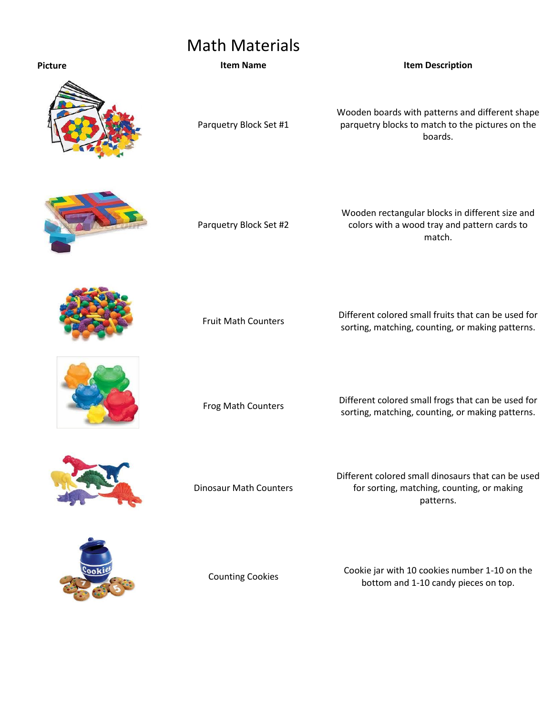## Math Materials

## **Picture Item Name Item Description**



Parquetry Block Set #1

Wooden boards with patterns and different shape parquetry blocks to match to the pictures on the boards.



Parquetry Block Set #2

Wooden rectangular blocks in different size and colors with a wood tray and pattern cards to match.



Fruit Math Counters Different colored small fruits that can be used for sorting, matching, counting, or making patterns.



Frog Math Counters **Different colored small frogs that can be used for**<br>**Sorting matching counting armaking patterns** sorting, matching, counting, or making patterns.



Dinosaur Math Counters

Different colored small dinosaurs that can be used for sorting, matching, counting, or making patterns.



Counting Cookies Cookie jar with 10 cookies number 1-10 on the bottom and 1-10 candy pieces on top.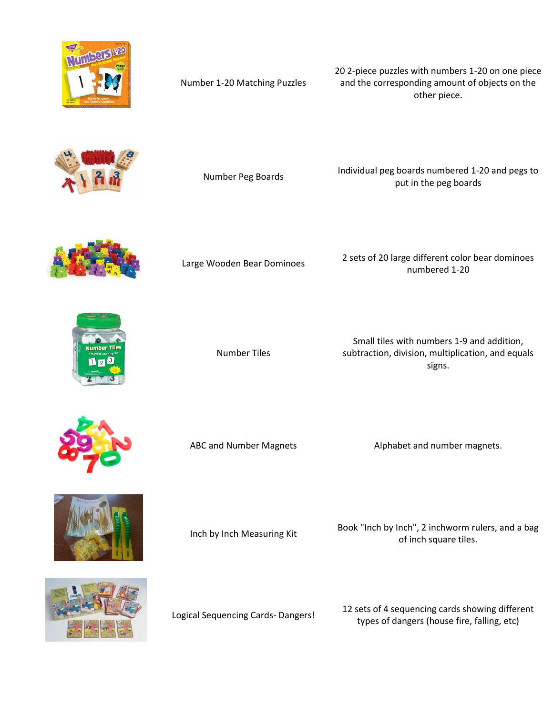

Number 1-20 Matching Puzzles

20 2-piece puzzles with numbers 1-20 on one piece and the corresponding amount of objects on the other piece.



Number Peg Boards Individual peg boards numbered 1-20 and pegs to put in the peg boards



Large Wooden Bear Dominoes 2 sets of 20 large different color bear dominoes numbered 1-20



Number Tiles

Small tiles with numbers 1-9 and addition, subtraction, division, multiplication, and equals signs.



ABC and Number Magnets **Alphabet and number magnets.** 



Inch by Inch Measuring Kit Book "Inch by Inch", 2 inchworm rulers, and a bag of inch square tiles.



Logical Sequencing Cards- Dangers! 12 sets of 4 sequencing cards showing different types of dangers (house fire, falling, etc)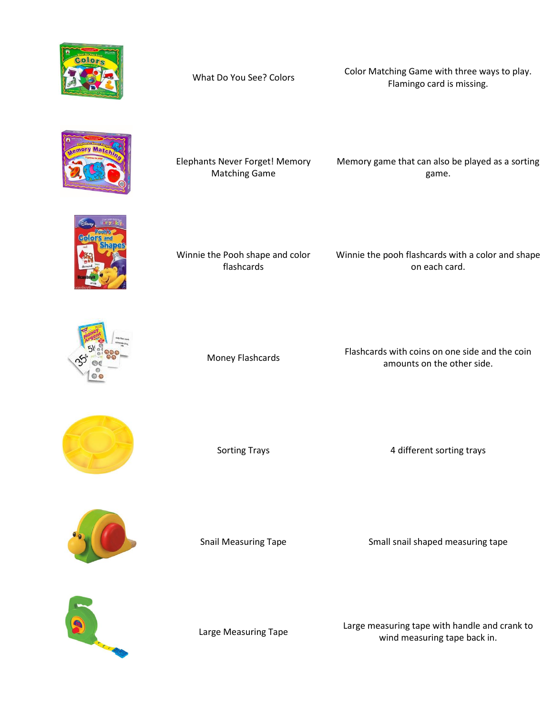

What Do You See? Colors Color Matching Game with three ways to play. Flamingo card is missing.



Elephants Never Forget! Memory Matching Game

Memory game that can also be played as a sorting game.



Winnie the Pooh shape and color flashcards

Winnie the pooh flashcards with a color and shape on each card.



Money Flashcards Flashcards with coins on one side and the coin<br>Money Flashcards amounts on the other side.



Sorting Trays **Assembly 1** and the 4 different sorting trays



Snail Measuring Tape Small snail shaped measuring tape



Large Measuring Tape Large measuring tape with handle and crank to<br>
unind measuring tape hask in wind measuring tape back in.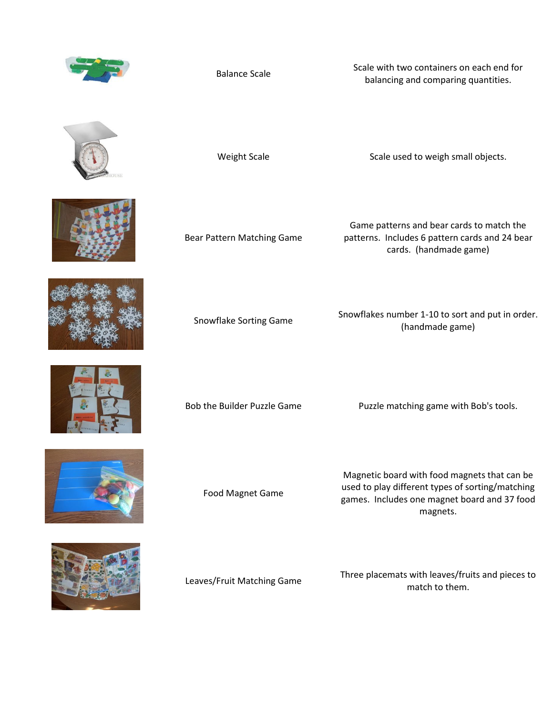

Balance Scale Scale Scale with two containers on each end for balancing and comparing quantities.



Weight Scale Scale used to weigh small objects.











Bear Pattern Matching Game

Game patterns and bear cards to match the patterns. Includes 6 pattern cards and 24 bear cards. (handmade game)

Snowflake Sorting Game Snowflakes number 1-10 to sort and put in order. (handmade game)

Bob the Builder Puzzle Game Puzzle matching game with Bob's tools.

Food Magnet Game

Magnetic board with food magnets that can be used to play different types of sorting/matching games. Includes one magnet board and 37 food magnets.

Leaves/Fruit Matching Game Three placemats with leaves/fruits and pieces to match to them.